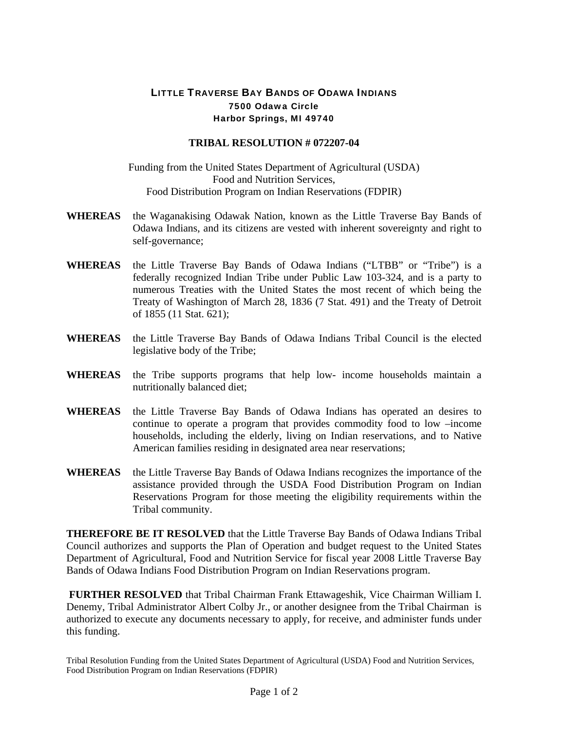## LITTLE TRAVERSE BAY BANDS OF ODAWA INDIANS 7500 Odawa Circle Harbor Springs, MI 49740

## **TRIBAL RESOLUTION # 072207-04**

## Funding from the United States Department of Agricultural (USDA) Food and Nutrition Services, Food Distribution Program on Indian Reservations (FDPIR)

- **WHEREAS** the Waganakising Odawak Nation, known as the Little Traverse Bay Bands of Odawa Indians, and its citizens are vested with inherent sovereignty and right to self-governance;
- **WHEREAS** the Little Traverse Bay Bands of Odawa Indians ("LTBB" or "Tribe") is a federally recognized Indian Tribe under Public Law 103-324, and is a party to numerous Treaties with the United States the most recent of which being the Treaty of Washington of March 28, 1836 (7 Stat. 491) and the Treaty of Detroit of 1855 (11 Stat. 621);
- **WHEREAS** the Little Traverse Bay Bands of Odawa Indians Tribal Council is the elected legislative body of the Tribe;
- **WHEREAS** the Tribe supports programs that help low- income households maintain a nutritionally balanced diet;
- **WHEREAS** the Little Traverse Bay Bands of Odawa Indians has operated an desires to continue to operate a program that provides commodity food to low –income households, including the elderly, living on Indian reservations, and to Native American families residing in designated area near reservations;
- **WHEREAS** the Little Traverse Bay Bands of Odawa Indians recognizes the importance of the assistance provided through the USDA Food Distribution Program on Indian Reservations Program for those meeting the eligibility requirements within the Tribal community.

**THEREFORE BE IT RESOLVED** that the Little Traverse Bay Bands of Odawa Indians Tribal Council authorizes and supports the Plan of Operation and budget request to the United States Department of Agricultural, Food and Nutrition Service for fiscal year 2008 Little Traverse Bay Bands of Odawa Indians Food Distribution Program on Indian Reservations program.

 **FURTHER RESOLVED** that Tribal Chairman Frank Ettawageshik, Vice Chairman William I. Denemy, Tribal Administrator Albert Colby Jr., or another designee from the Tribal Chairman is authorized to execute any documents necessary to apply, for receive, and administer funds under this funding.

Tribal Resolution Funding from the United States Department of Agricultural (USDA) Food and Nutrition Services, Food Distribution Program on Indian Reservations (FDPIR)